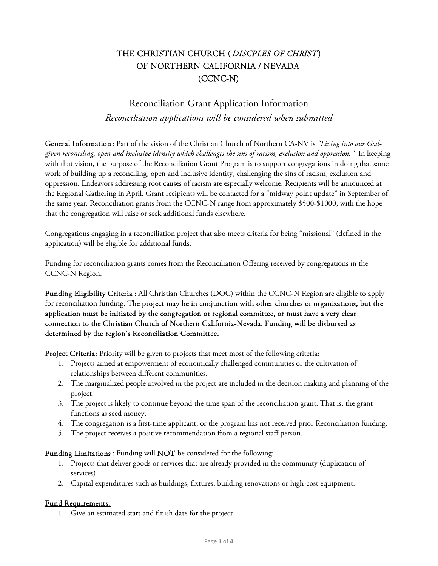## THE CHRISTIAN CHURCH (DISCPLES OF CHRIST) OF NORTHERN CALIFORNIA / NEVADA (CCNC-N)

# Reconciliation Grant Application Information Reconciliation applications will be considered when submitted

General Information: Part of the vision of the Christian Church of Northern CA-NV is "Living into our Godgiven reconciling, open and inclusive identity which challenges the sins of racism, exclusion and oppression." In keeping with that vision, the purpose of the Reconciliation Grant Program is to support congregations in doing that same work of building up a reconciling, open and inclusive identity, challenging the sins of racism, exclusion and oppression. Endeavors addressing root causes of racism are especially welcome. Recipients will be announced at the Regional Gathering in April. Grant recipients will be contacted for a "midway point update" in September of the same year. Reconciliation grants from the CCNC-N range from approximately \$500-\$1000, with the hope that the congregation will raise or seek additional funds elsewhere.

Congregations engaging in a reconciliation project that also meets criteria for being "missional" (defined in the application) will be eligible for additional funds.

Funding for reconciliation grants comes from the Reconciliation Offering received by congregations in the CCNC-N Region.

Funding Eligibility Criteria: All Christian Churches (DOC) within the CCNC-N Region are eligible to apply for reconciliation funding. The project may be in conjunction with other churches or organizations, but the application must be initiated by the congregation or regional committee, or must have a very clear connection to the Christian Church of Northern California-Nevada. Funding will be disbursed as determined by the region's Reconciliation Committee.

Project Criteria: Priority will be given to projects that meet most of the following criteria:

- 1. Projects aimed at empowerment of economically challenged communities or the cultivation of relationships between different communities.
- 2. The marginalized people involved in the project are included in the decision making and planning of the project.
- 3. The project is likely to continue beyond the time span of the reconciliation grant. That is, the grant functions as seed money.
- 4. The congregation is a first-time applicant, or the program has not received prior Reconciliation funding.
- 5. The project receives a positive recommendation from a regional staff person.

#### Funding Limitations : Funding will NOT be considered for the following:

- 1. Projects that deliver goods or services that are already provided in the community (duplication of services).
- 2. Capital expenditures such as buildings, fixtures, building renovations or high-cost equipment.

### Fund Requirements:

1. Give an estimated start and finish date for the project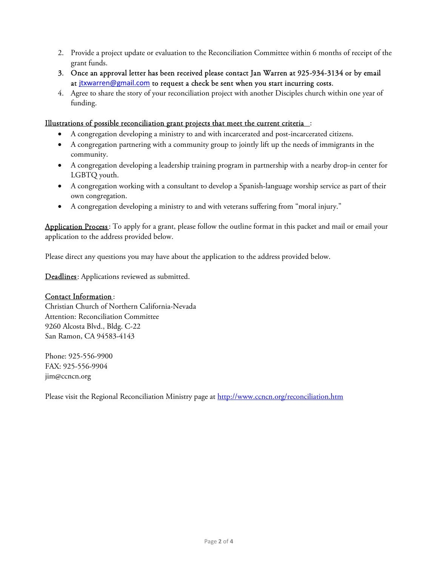- 2. Provide a project update or evaluation to the Reconciliation Committee within 6 months of receipt of the grant funds.
- 3. Once an approval letter has been received please contact Jan Warren at 925-934-3134 or by email at jtxwarren@gmail.com to request a check be sent when you start incurring costs.
- 4. Agree to share the story of your reconciliation project with another Disciples church within one year of funding.

### Illustrations of possible reconciliation grant projects that meet the current criteria:

- A congregation developing a ministry to and with incarcerated and post-incarcerated citizens.
- A congregation partnering with a community group to jointly lift up the needs of immigrants in the community.
- A congregation developing a leadership training program in partnership with a nearby drop-in center for LGBTQ youth.
- A congregation working with a consultant to develop a Spanish-language worship service as part of their own congregation.
- A congregation developing a ministry to and with veterans suffering from "moral injury."

Application Process : To apply for a grant, please follow the outline format in this packet and mail or email your application to the address provided below.

Please direct any questions you may have about the application to the address provided below.

Deadlines: Applications reviewed as submitted.

#### Contact Information :

Christian Church of Northern California-Nevada Attention: Reconciliation Committee 9260 Alcosta Blvd., Bldg. C-22 San Ramon, CA 94583-4143

Phone: 925-556-9900 FAX: 925-556-9904 jim@ccncn.org

Please visit the Regional Reconciliation Ministry page at http://www.ccncn.org/reconciliation.htm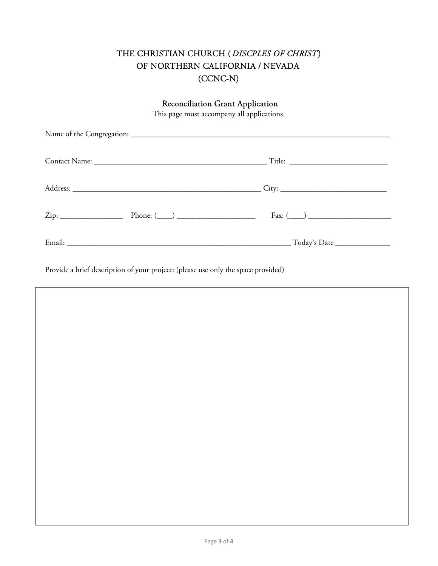# THE CHRISTIAN CHURCH ( DISCPLES OF CHRIST) OF NORTHERN CALIFORNIA / NEVADA (CCNC-N)

| <b>Reconciliation Grant Application</b><br>This page must accompany all applications. |  |  |  |
|---------------------------------------------------------------------------------------|--|--|--|
|                                                                                       |  |  |  |
|                                                                                       |  |  |  |
|                                                                                       |  |  |  |
| $Zip:$ Phone: $(\_\_\_\_\_\_\_\_\_$                                                   |  |  |  |
|                                                                                       |  |  |  |

Provide a brief description of your project: (please use only the space provided)